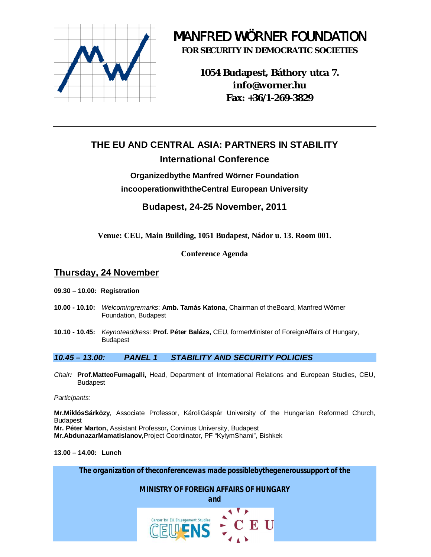

# *M*ANFRED *W*ÖRNER FOUNDATION

**FOR SECURITY IN DEMOCRATIC SOCIETIES**

**1054 Budapest, Báthory utca 7. [info@worner.hu](mailto:info@worner.hu) Fax: +36/1-269-3829**

## **THE EU AND CENTRAL ASIA: PARTNERS IN STABILITY International Conference**

## **Organizedbythe Manfred Wörner Foundation incooperationwiththeCentral European University**

**Budapest, 24-25 November, 2011**

**Venue: CEU, Main Building, 1051 Budapest, Nádor u. 13. Room 001.**

### **Conference Agenda**

## **Thursday, 24 November**

- **09.30 10.00: Registration**
- **10.00 10.10:** *Welcomingremarks*: **Amb. Tamás Katona**, Chairman of theBoard, Manfred Wörner Foundation, Budapest
- **10.10 10.45:** *Keynoteaddress*: **Prof. Péter Balázs,** CEU, formerMinister of ForeignAffairs of Hungary, Budapest

#### *10.45 – 13.00: PANEL 1 STABILITY AND SECURITY POLICIES*

*Chair:* **Prof.MatteoFumagalli,** Head, Department of International Relations and European Studies, CEU, Budapest

*Participants:*

**Mr.MiklósSárközy**, Associate Professor, KároliGáspár University of the Hungarian Reformed Church, Budapest

**Mr. Péter Marton,** Assistant Professor**,** Corvinus University, Budapest

**Mr.AbdunazarMamatislanov**,Project Coordinator, PF "KylymShami", Bishkek

**13.00 – 14.00: Lunch**

*The organization of theconferencewas made possiblebythegeneroussupport of the*

*MINISTRY OF FOREIGN AFFAIRS OF HUNGARY*